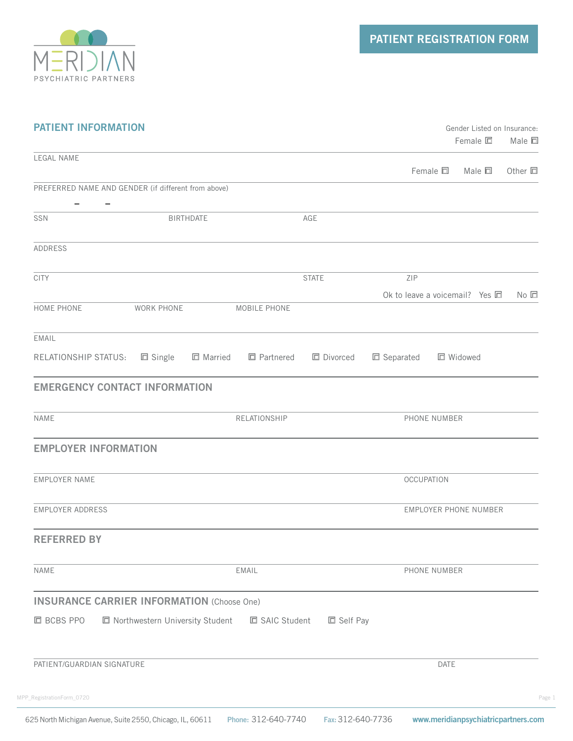

| <b>PATIENT INFORMATION</b>           |                                                     |                | Gender Listed on Insurance: |                       |                                     |                 |
|--------------------------------------|-----------------------------------------------------|----------------|-----------------------------|-----------------------|-------------------------------------|-----------------|
|                                      |                                                     |                |                             |                       | $F$ emale $\square$                 | Male □          |
| LEGAL NAME                           |                                                     |                |                             |                       | Female $\square$<br>Male $\square$  | Other $\square$ |
|                                      | PREFERRED NAME AND GENDER (if different from above) |                |                             |                       |                                     |                 |
| $-$<br>$\overline{\phantom{m}}$      |                                                     |                |                             |                       |                                     |                 |
| SSN                                  | BIRTHDATE                                           |                | AGE                         |                       |                                     |                 |
| ADDRESS                              |                                                     |                |                             |                       |                                     |                 |
| <b>CITY</b>                          |                                                     |                | <b>STATE</b>                | ZIP                   |                                     |                 |
|                                      |                                                     |                |                             |                       | Ok to leave a voicemail? Yes $\Box$ | No <sub>E</sub> |
| HOME PHONE                           | WORK PHONE                                          | MOBILE PHONE   |                             |                       |                                     |                 |
| EMAIL                                |                                                     |                |                             |                       |                                     |                 |
| RELATIONSHIP STATUS:                 | □ Single<br>□ Married                               | □ Partnered    | □ Divorced                  | □ Separated           | □ Widowed                           |                 |
| <b>EMERGENCY CONTACT INFORMATION</b> |                                                     |                |                             |                       |                                     |                 |
|                                      |                                                     |                |                             |                       |                                     |                 |
| NAME                                 |                                                     | RELATIONSHIP   |                             | PHONE NUMBER          |                                     |                 |
| <b>EMPLOYER INFORMATION</b>          |                                                     |                |                             |                       |                                     |                 |
| EMPLOYER NAME                        |                                                     |                |                             | <b>OCCUPATION</b>     |                                     |                 |
| EMPLOYER ADDRESS                     |                                                     |                |                             | EMPLOYER PHONE NUMBER |                                     |                 |
|                                      |                                                     |                |                             |                       |                                     |                 |
| <b>REFERRED BY</b>                   |                                                     |                |                             |                       |                                     |                 |
| NAME                                 |                                                     | EMAIL          |                             |                       | PHONE NUMBER                        |                 |
|                                      | <b>INSURANCE CARRIER INFORMATION (Choose One)</b>   |                |                             |                       |                                     |                 |
| □ BCBS PPO                           | □ Northwestern University Student                   | □ SAIC Student | □ Self Pay                  |                       |                                     |                 |
|                                      |                                                     |                |                             |                       |                                     |                 |
| PATIENT/GUARDIAN SIGNATURE           |                                                     |                |                             |                       | DATE                                |                 |
| MPP_RegistrationForm_0720            |                                                     |                |                             |                       |                                     |                 |
|                                      |                                                     |                |                             |                       |                                     |                 |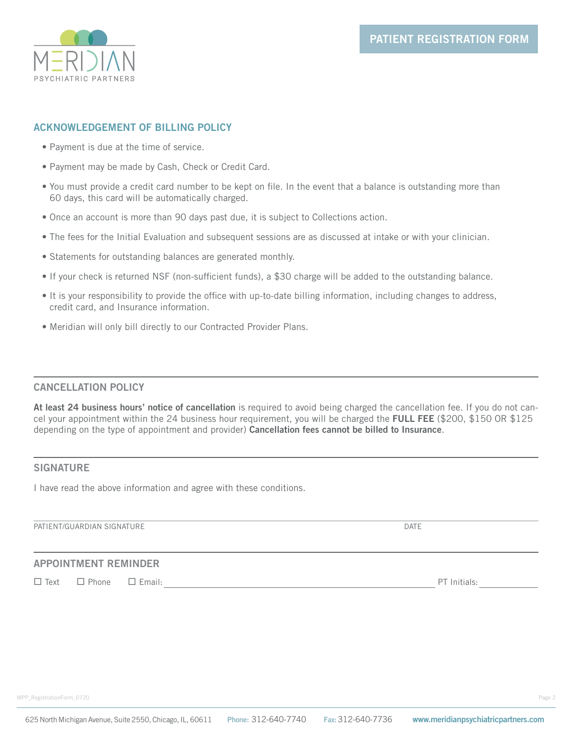

# **ACKNOWLEDGEMENT OF BILLING POLICY**

- Payment is due at the time of service.
- Payment may be made by Cash, Check or Credit Card.
- You must provide a credit card number to be kept on file. In the event that a balance is outstanding more than 60 days, this card will be automatically charged.
- Once an account is more than 90 days past due, it is subject to Collections action.
- The fees for the Initial Evaluation and subsequent sessions are as discussed at intake or with your clinician.
- Statements for outstanding balances are generated monthly.
- If your check is returned NSF (non-sufficient funds), a \$30 charge will be added to the outstanding balance.
- It is your responsibility to provide the office with up-to-date billing information, including changes to address, credit card, and Insurance information.
- Meridian will only bill directly to our Contracted Provider Plans.

# **CANCELLATION POLICY**

**At least 24 business hours' notice of cancellation** is required to avoid being charged the cancellation fee. If you do not cancel your appointment within the 24 business hour requirement, you will be charged the **FULL FEE** (\$200, \$150 OR \$125 depending on the type of appointment and provider) **Cancellation fees cannot be billed to Insurance**.

# **SIGNATURE**

I have read the above information and agree with these conditions.

PATIENT/GUARDIAN SIGNATURE **External of the contract of the contract of the contract of the contract of the contract of the contract of the contract of the contract of the contract of the contract of the contract of the co** 

# **APPOINTMENT REMINDER**

Text Phone Email: PT Initials: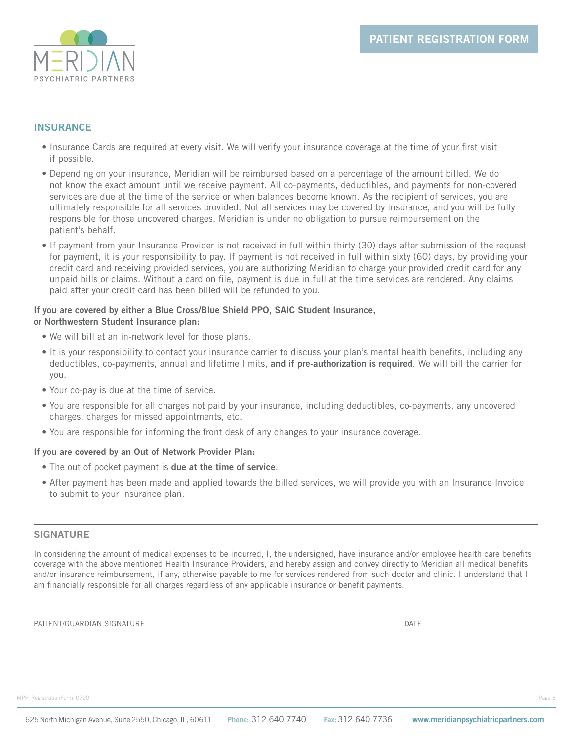

# **INSURANCE**

- Insurance Cards are required at every visit. We will verify your insurance coverage at the time of your first visit if possible.
- Depending on your insurance, Meridian will be reimbursed based on a percentage of the amount billed. We do not know the exact amount until we receive payment. All co-payments, deductibles, and payments for non-covered services are due at the time of the service or when balances become known. As the recipient of services, you are ultimately responsible for all services provided. Not all services may be covered by insurance, and you will be fully responsible for those uncovered charges. Meridian is under no obligation to pursue reimbursement on the patient's behalf.
- If payment from your Insurance Provider is not received in full within thirty (30) days after submission of the request for payment, it is your responsibility to pay. If payment is not received in full within sixty (60) days, by providing your credit card and receiving provided services, you are authorizing Meridian to charge your provided credit card for any unpaid bills or claims. Without a card on file, payment is due in full at the time services are rendered. Any claims paid after your credit card has been billed will be refunded to you.

#### **If you are covered by either a Blue Cross/Blue Shield PPO, SAIC Student Insurance, or Northwestern Student Insurance plan:**

- We will bill at an in-network level for those plans.
- It is your responsibility to contact your insurance carrier to discuss your plan's mental health benefits, including any deductibles, co-payments, annual and lifetime limits, **and if pre-authorization is required**. We will bill the carrier for you.
- Your co-pay is due at the time of service.
- You are responsible for all charges not paid by your insurance, including deductibles, co-payments, any uncovered charges, charges for missed appointments, etc.
- You are responsible for informing the front desk of any changes to your insurance coverage.

# **If you are covered by an Out of Network Provider Plan:**

- The out of pocket payment is **due at the time of service**.
- After payment has been made and applied towards the billed services, we will provide you with an Insurance Invoice to submit to your insurance plan.

# **SIGNATURE**

In considering the amount of medical expenses to be incurred, I, the undersigned, have insurance and/or employee health care benefits coverage with the above mentioned Health Insurance Providers, and hereby assign and convey directly to Meridian all medical benefits and/or insurance reimbursement, if any, otherwise payable to me for services rendered from such doctor and clinic. I understand that I am financially responsible for all charges regardless of any applicable insurance or benefit payments.

PATIENT/GUARDIAN SIGNATURE DATE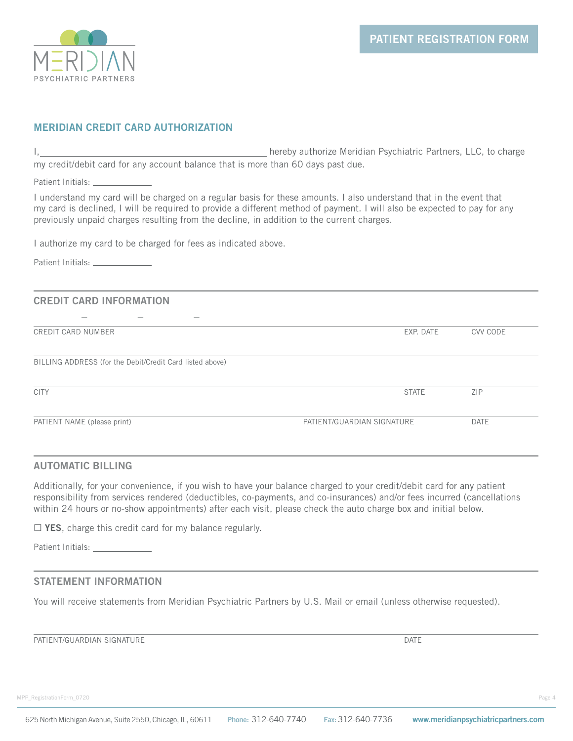

# **MERIDIAN CREDIT CARD AUTHORIZATION**

I, 1. 2012 1. hereby authorize Meridian Psychiatric Partners, LLC, to charge my credit/debit card for any account balance that is more than 60 days past due.

Patient Initials: \_\_

I understand my card will be charged on a regular basis for these amounts. I also understand that in the event that my card is declined, I will be required to provide a different method of payment. I will also be expected to pay for any previously unpaid charges resulting from the decline, in addition to the current charges.

I authorize my card to be charged for fees as indicated above.

Patient Initials:

# **CREDIT CARD INFORMATION**

| CREDIT CARD NUMBER                                       | EXP. DATE    | CVV CODE   |
|----------------------------------------------------------|--------------|------------|
| BILLING ADDRESS (for the Debit/Credit Card listed above) |              |            |
| <b>CITY</b>                                              | <b>STATE</b> | <b>ZIP</b> |
|                                                          |              |            |

# **AUTOMATIC BILLING**

Additionally, for your convenience, if you wish to have your balance charged to your credit/debit card for any patient responsibility from services rendered (deductibles, co-payments, and co-insurances) and/or fees incurred (cancellations within 24 hours or no-show appointments) after each visit, please check the auto charge box and initial below.

□ YES, charge this credit card for my balance regularly.

Patient Initials:

# **STATEMENT INFORMATION**

You will receive statements from Meridian Psychiatric Partners by U.S. Mail or email (unless otherwise requested).

PATIENT/GUARDIAN SIGNATURE DATE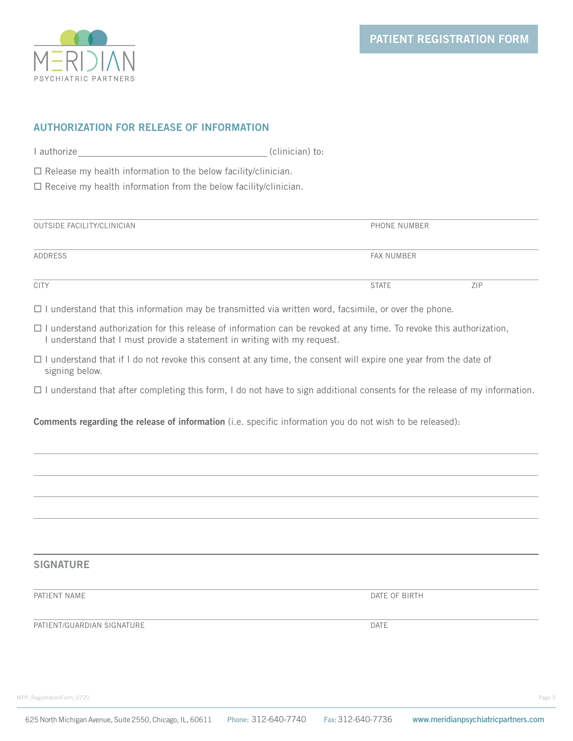

# **AUTHORIZATION FOR RELEASE OF INFORMATION**

I authorize (clinician) to:

 $\Box$  Release my health information to the below facility/clinician.

 $\Box$  Receive my health information from the below facility/clinician.

| OUTSIDE FACILITY/CLINICIAN | PHONE NUMBER      |     |  |  |
|----------------------------|-------------------|-----|--|--|
| ADDRESS                    | <b>FAX NUMBER</b> |     |  |  |
| <b>CITY</b>                | <b>STATE</b>      | ZIP |  |  |

 $\Box$  I understand that this information may be transmitted via written word, facsimile, or over the phone.

- $\Box$  I understand authorization for this release of information can be revoked at any time. To revoke this authorization, I understand that I must provide a statement in writing with my request.
- $\Box$  I understand that if I do not revoke this consent at any time, the consent will expire one year from the date of signing below.
- $\Box$  I understand that after completing this form, I do not have to sign additional consents for the release of my information.

**Comments regarding the release of information** (i.e. specific information you do not wish to be released):

# **SIGNATURE**

PATIENT NAME DATE OF BIRTH

**PATIENT/GUARDIAN SIGNATURE** DATE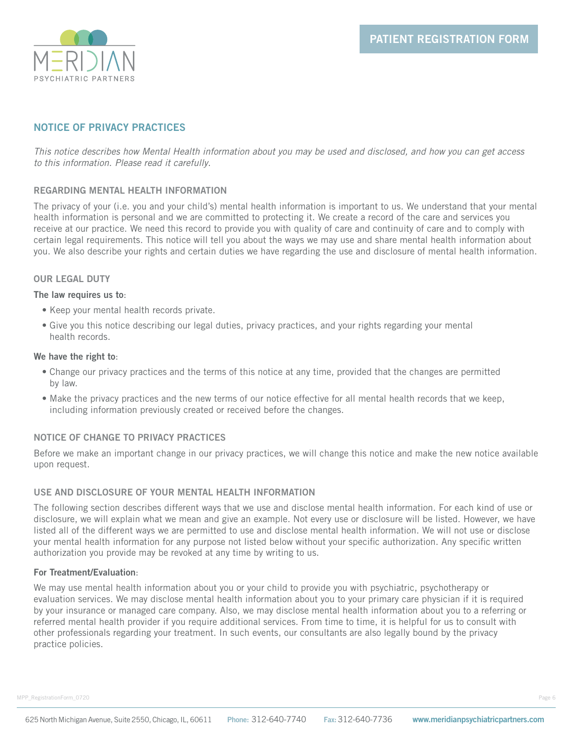

# **NOTICE OF PRIVACY PRACTICES**

*This notice describes how Mental Health information about you may be used and disclosed, and how you can get access to this information. Please read it carefully*.

### **REGARDING MENTAL HEALTH INFORMATION**

The privacy of your (i.e. you and your child's) mental health information is important to us. We understand that your mental health information is personal and we are committed to protecting it. We create a record of the care and services you receive at our practice. We need this record to provide you with quality of care and continuity of care and to comply with certain legal requirements. This notice will tell you about the ways we may use and share mental health information about you. We also describe your rights and certain duties we have regarding the use and disclosure of mental health information.

### **OUR LEGAL DUTY**

### **The law requires us to**:

- Keep your mental health records private.
- Give you this notice describing our legal duties, privacy practices, and your rights regarding your mental health records.

### **We have the right to**:

- Change our privacy practices and the terms of this notice at any time, provided that the changes are permitted by law.
- Make the privacy practices and the new terms of our notice effective for all mental health records that we keep, including information previously created or received before the changes.

# **NOTICE OF CHANGE TO PRIVACY PRACTICES**

Before we make an important change in our privacy practices, we will change this notice and make the new notice available upon request.

# **USE AND DISCLOSURE OF YOUR MENTAL HEALTH INFORMATION**

The following section describes different ways that we use and disclose mental health information. For each kind of use or disclosure, we will explain what we mean and give an example. Not every use or disclosure will be listed. However, we have listed all of the different ways we are permitted to use and disclose mental health information. We will not use or disclose your mental health information for any purpose not listed below without your specific authorization. Any specific written authorization you provide may be revoked at any time by writing to us.

### **For Treatment/Evaluation**:

We may use mental health information about you or your child to provide you with psychiatric, psychotherapy or evaluation services. We may disclose mental health information about you to your primary care physician if it is required by your insurance or managed care company. Also, we may disclose mental health information about you to a referring or referred mental health provider if you require additional services. From time to time, it is helpful for us to consult with other professionals regarding your treatment. In such events, our consultants are also legally bound by the privacy practice policies.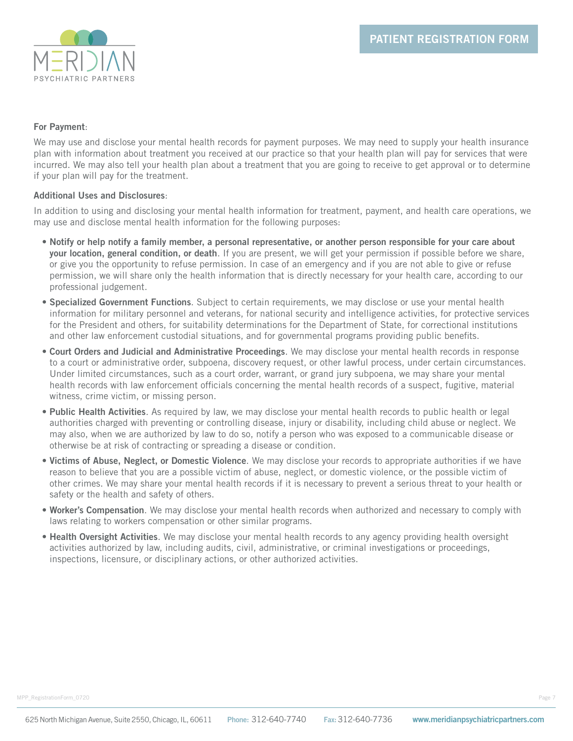

### **For Payment**:

We may use and disclose your mental health records for payment purposes. We may need to supply your health insurance plan with information about treatment you received at our practice so that your health plan will pay for services that were incurred. We may also tell your health plan about a treatment that you are going to receive to get approval or to determine if your plan will pay for the treatment.

### **Additional Uses and Disclosures**:

In addition to using and disclosing your mental health information for treatment, payment, and health care operations, we may use and disclose mental health information for the following purposes:

- **Notify or help notify a family member, a personal representative, or another person responsible for your care about your location, general condition, or death**. If you are present, we will get your permission if possible before we share, or give you the opportunity to refuse permission. In case of an emergency and if you are not able to give or refuse permission, we will share only the health information that is directly necessary for your health care, according to our professional judgement.
- **Specialized Government Functions**. Subject to certain requirements, we may disclose or use your mental health information for military personnel and veterans, for national security and intelligence activities, for protective services for the President and others, for suitability determinations for the Department of State, for correctional institutions and other law enforcement custodial situations, and for governmental programs providing public benefits.
- **Court Orders and Judicial and Administrative Proceedings**. We may disclose your mental health records in response to a court or administrative order, subpoena, discovery request, or other lawful process, under certain circumstances. Under limited circumstances, such as a court order, warrant, or grand jury subpoena, we may share your mental health records with law enforcement officials concerning the mental health records of a suspect, fugitive, material witness, crime victim, or missing person.
- **Public Health Activities**. As required by law, we may disclose your mental health records to public health or legal authorities charged with preventing or controlling disease, injury or disability, including child abuse or neglect. We may also, when we are authorized by law to do so, notify a person who was exposed to a communicable disease or otherwise be at risk of contracting or spreading a disease or condition.
- **Victims of Abuse, Neglect, or Domestic Violence**. We may disclose your records to appropriate authorities if we have reason to believe that you are a possible victim of abuse, neglect, or domestic violence, or the possible victim of other crimes. We may share your mental health records if it is necessary to prevent a serious threat to your health or safety or the health and safety of others.
- **Worker's Compensation**. We may disclose your mental health records when authorized and necessary to comply with laws relating to workers compensation or other similar programs.
- **Health Oversight Activities**. We may disclose your mental health records to any agency providing health oversight activities authorized by law, including audits, civil, administrative, or criminal investigations or proceedings, inspections, licensure, or disciplinary actions, or other authorized activities.